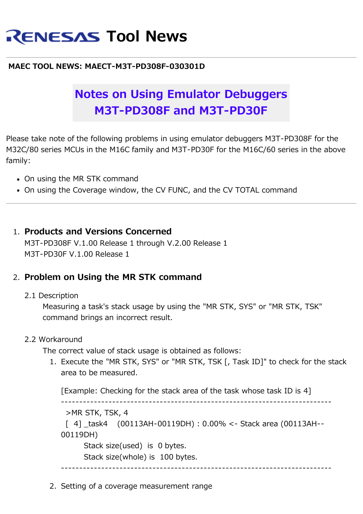# **RENESAS Tool News**

#### **MAEC TOOL NEWS: MAECT-M3T-PD308F-030301D**

# **Notes on Using Emulator Debuggers M3T-PD308F and M3T-PD30F**

Please take note of the following problems in using emulator debuggers M3T-PD308F for the M32C/80 series MCUs in the M16C family and M3T-PD30F for the M16C/60 series in the above family:

- On using the MR STK command
- On using the Coverage window, the CV FUNC, and the CV TOTAL command

#### 1. **Products and Versions Concerned**

M3T-PD308F V.1.00 Release 1 through V.2.00 Release 1 M3T-PD30F V.1.00 Release 1

### 2. **Problem on Using the MR STK command**

#### 2.1 Description

Measuring a task's stack usage by using the "MR STK, SYS" or "MR STK, TSK" command brings an incorrect result.

#### 2.2 Workaround

The correct value of stack usage is obtained as follows:

1. Execute the "MR STK, SYS" or "MR STK, TSK [, Task ID]" to check for the stack area to be measured.

[Example: Checking for the stack area of the task whose task ID is 4]

--------------------------------------------------------------------------

>MR STK, TSK, 4

 $[4]$  task4 (00113AH-00119DH) : 0.00% <- Stack area (00113AH--00119DH)

Stack size(used) is 0 bytes.

Stack size(whole) is 100 bytes.

--------------------------------------------------------------------------

2. Setting of a coverage measurement range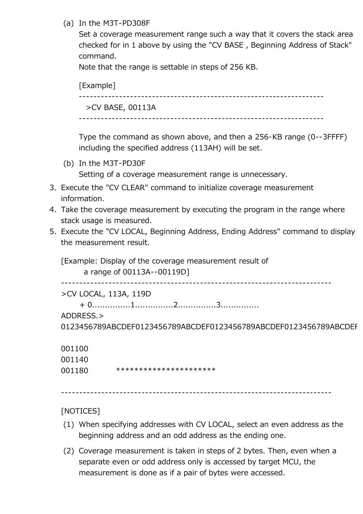#### (a) In the M3T-PD308F

Set a coverage measurement range such a way that it covers the stack area checked for in 1 above by using the "CV BASE , Beginning Address of Stack" command.

Note that the range is settable in steps of 256 KB.

[Example] ------------------------------------------------------------------- >CV BASE, 00113A

-------------------------------------------------------------------

Type the command as shown above, and then a 256-KB range (0--3FFFF) including the specified address (113AH) will be set.

(b) In the M3T-PD30F

Setting of a coverage measurement range is unnecessary.

- 3. Execute the "CV CLEAR" command to initialize coverage measurement information.
- 4. Take the coverage measurement by executing the program in the range where stack usage is measured.
- 5. Execute the "CV LOCAL, Beginning Address, Ending Address" command to display the measurement result.

[Example: Display of the coverage measurement result of a range of 00113A--00119D]

--------------------------------------------------------------------------

>CV LOCAL, 113A, 119D

+ 0...............1...............2...............3...............

ADDRESS.>

0123456789ABCDEF0123456789ABCDEF0123456789ABCDEF0123456789ABCDEF

001100

| 001140 |                        |
|--------|------------------------|
| 001180 | ********************** |

--------------------------------------------------------------------------

[NOTICES]

- (1) When specifying addresses with CV LOCAL, select an even address as the beginning address and an odd address as the ending one.
- (2) Coverage measurement is taken in steps of 2 bytes. Then, even when a separate even or odd address only is accessed by target MCU, the measurement is done as if a pair of bytes were accessed.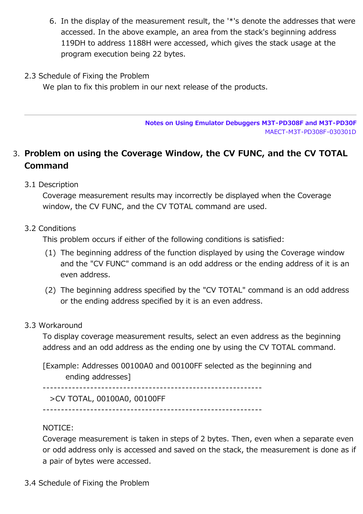- 6. In the display of the measurement result, the '\*'s denote the addresses that were accessed. In the above example, an area from the stack's beginning address 119DH to address 1188H were accessed, which gives the stack usage at the program execution being 22 bytes.
- 2.3 Schedule of Fixing the Problem

We plan to fix this problem in our next release of the products.

**Notes on Using Emulator Debuggers M3T-PD308F and M3T-PD30F** MAECT-M3T-PD308F-030301D

## 3. **Problem on using the Coverage Window, the CV FUNC, and the CV TOTAL Command**

3.1 Description

Coverage measurement results may incorrectly be displayed when the Coverage window, the CV FUNC, and the CV TOTAL command are used.

#### 3.2 Conditions

This problem occurs if either of the following conditions is satisfied:

- (1) The beginning address of the function displayed by using the Coverage window and the "CV FUNC" command is an odd address or the ending address of it is an even address.
- (2) The beginning address specified by the "CV TOTAL" command is an odd address or the ending address specified by it is an even address.

#### 3.3 Workaround

To display coverage measurement results, select an even address as the beginning address and an odd address as the ending one by using the CV TOTAL command.

[Example: Addresses 00100A0 and 00100FF selected as the beginning and ending addresses]

------------------------------------------------------------

>CV TOTAL, 00100A0, 00100FF

------------------------------------------------------------

#### NOTICE:

Coverage measurement is taken in steps of 2 bytes. Then, even when a separate even or odd address only is accessed and saved on the stack, the measurement is done as if a pair of bytes were accessed.